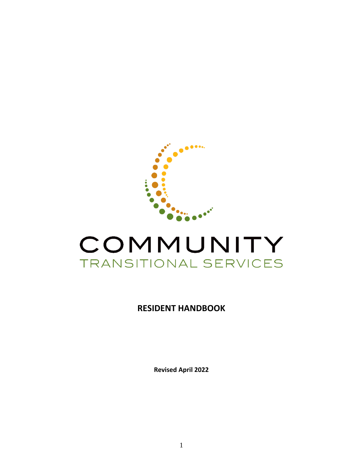

# COMMUNITY TRANSITIONAL SERVICES

# **RESIDENT HANDBOOK**

**Revised April 2022**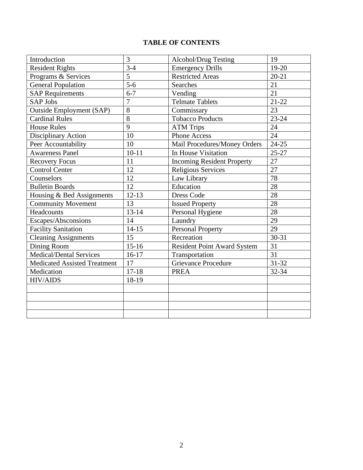# **TABLE OF CONTENTS**

| Introduction                        | $\overline{3}$ | Alcohol/Drug Testing                      | 19        |
|-------------------------------------|----------------|-------------------------------------------|-----------|
| <b>Resident Rights</b>              | $3-4$          | $19-20$<br><b>Emergency Drills</b>        |           |
| Programs & Services                 | 5              | <b>Restricted Areas</b><br>$20 - 21$      |           |
| <b>General Population</b>           | $5 - 6$        | 21<br><b>Searches</b>                     |           |
| <b>SAP Requirements</b>             | $6 - 7$        | 21<br>Vending                             |           |
| <b>SAP Jobs</b>                     | $\overline{7}$ | <b>Telmate Tablets</b><br>$21 - 22$       |           |
| <b>Outside Employment (SAP)</b>     | 8              | Commissary<br>23                          |           |
| <b>Cardinal Rules</b>               | $\overline{8}$ | $23 - 24$<br><b>Tobacco Products</b>      |           |
| <b>House Rules</b>                  | 9              | <b>ATM Trips</b><br>24                    |           |
| Disciplinary Action                 | 10             | 24<br><b>Phone Access</b>                 |           |
| Peer Accountability                 | 10             | $24 - 25$<br>Mail Procedures/Money Orders |           |
| <b>Awareness Panel</b>              | $10-11$        | $25 - 27$<br>In House Visitation          |           |
| <b>Recovery Focus</b>               | 11             | <b>Incoming Resident Property</b><br>27   |           |
| <b>Control Center</b>               | 12             | Religious Services                        | 27        |
| Counselors                          | 12             | Law Library                               | 78        |
| <b>Bulletin Boards</b>              | 12             | Education                                 | 28        |
| Housing & Bed Assignments           | $12-13$        | <b>Dress Code</b>                         | 28        |
| <b>Community Movement</b>           | 13             | <b>Issued Property</b>                    | 28        |
| Headcounts                          | $13 - 14$      | Personal Hygiene                          | 28        |
| Escapes/Absconsions                 | 14             | Laundry                                   | 29        |
| <b>Facility Sanitation</b>          | $14 - 15$      | <b>Personal Property</b>                  | 29        |
| <b>Cleaning Assignments</b>         | 15             | Recreation                                | $30 - 31$ |
| Dining Room                         | $15 - 16$      | <b>Resident Point Award System</b>        | 31        |
| <b>Medical/Dental Services</b>      | $16-17$        | Transportation                            | 31        |
| <b>Medicated Assisted Treatment</b> | 17             | <b>Grievance Procedure</b>                | 31-32     |
| Medication                          | $17 - 18$      | <b>PREA</b>                               | 32-34     |
| <b>HIV/AIDS</b>                     | 18-19          |                                           |           |
|                                     |                |                                           |           |
|                                     |                |                                           |           |
|                                     |                |                                           |           |
|                                     |                |                                           |           |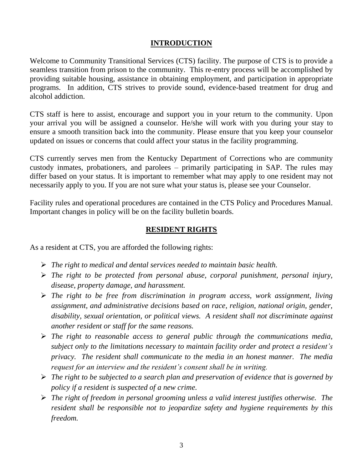## **INTRODUCTION**

Welcome to Community Transitional Services (CTS) facility. The purpose of CTS is to provide a seamless transition from prison to the community. This re-entry process will be accomplished by providing suitable housing, assistance in obtaining employment, and participation in appropriate programs.In addition, CTS strives to provide sound, evidence-based treatment for drug and alcohol addiction.

CTS staff is here to assist, encourage and support you in your return to the community. Upon your arrival you will be assigned a counselor. He/she will work with you during your stay to ensure a smooth transition back into the community. Please ensure that you keep your counselor updated on issues or concerns that could affect your status in the facility programming.

CTS currently serves men from the Kentucky Department of Corrections who are community custody inmates, probationers, and parolees – primarily participating in SAP. The rules may differ based on your status. It is important to remember what may apply to one resident may not necessarily apply to you. If you are not sure what your status is, please see your Counselor.

Facility rules and operational procedures are contained in the CTS Policy and Procedures Manual. Important changes in policy will be on the facility bulletin boards.

## **RESIDENT RIGHTS**

As a resident at CTS, you are afforded the following rights:

- ➢ *The right to medical and dental services needed to maintain basic health.*
- ➢ *The right to be protected from personal abuse, corporal punishment, personal injury, disease, property damage, and harassment.*
- ➢ *The right to be free from discrimination in program access, work assignment, living assignment, and administrative decisions based on race, religion, national origin, gender, disability, sexual orientation, or political views. A resident shall not discriminate against another resident or staff for the same reasons.*
- ➢ *The right to reasonable access to general public through the communications media, subject only to the limitations necessary to maintain facility order and protect a resident's privacy. The resident shall communicate to the media in an honest manner. The media request for an interview and the resident's consent shall be in writing.*
- ➢ *The right to be subjected to a search plan and preservation of evidence that is governed by policy if a resident is suspected of a new crime.*
- ➢ *The right of freedom in personal grooming unless a valid interest justifies otherwise. The resident shall be responsible not to jeopardize safety and hygiene requirements by this freedom.*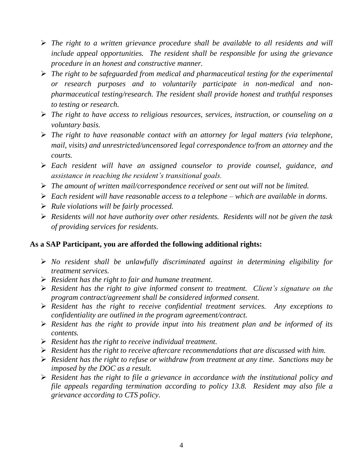- ➢ *The right to a written grievance procedure shall be available to all residents and will include appeal opportunities. The resident shall be responsible for using the grievance procedure in an honest and constructive manner.*
- ➢ *The right to be safeguarded from medical and pharmaceutical testing for the experimental or research purposes and to voluntarily participate in non-medical and nonpharmaceutical testing/research. The resident shall provide honest and truthful responses to testing or research.*
- ➢ *The right to have access to religious resources, services, instruction, or counseling on a voluntary basis.*
- ➢ *The right to have reasonable contact with an attorney for legal matters (via telephone, mail, visits) and unrestricted/uncensored legal correspondence to/from an attorney and the courts.*
- ➢ *Each resident will have an assigned counselor to provide counsel, guidance, and assistance in reaching the resident's transitional goals.*
- ➢ *The amount of written mail/correspondence received or sent out will not be limited.*
- ➢ *Each resident will have reasonable access to a telephone – which are available in dorms.*
- ➢ *Rule violations will be fairly processed.*
- ➢ *Residents will not have authority over other residents. Residents will not be given the task of providing services for residents.*

# **As a SAP Participant, you are afforded the following additional rights:**

- ➢ *No resident shall be unlawfully discriminated against in determining eligibility for treatment services.*
- ➢ *Resident has the right to fair and humane treatment.*
- ➢ *Resident has the right to give informed consent to treatment. Client's signature on the program contract/agreement shall be considered informed consent.*
- ➢ *Resident has the right to receive confidential treatment services. Any exceptions to confidentiality are outlined in the program agreement/contract.*
- ➢ *Resident has the right to provide input into his treatment plan and be informed of its contents.*
- ➢ *Resident has the right to receive individual treatment.*
- ➢ *Resident has the right to receive aftercare recommendations that are discussed with him.*
- ➢ *Resident has the right to refuse or withdraw from treatment at any time. Sanctions may be imposed by the DOC as a result.*
- ➢ *Resident has the right to file a grievance in accordance with the institutional policy and file appeals regarding termination according to policy 13.8. Resident may also file a grievance according to CTS policy.*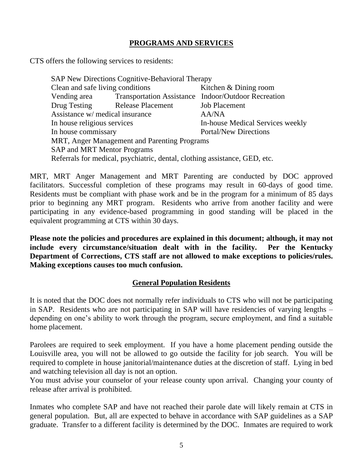# **PROGRAMS AND SERVICES**

CTS offers the following services to residents:

| SAP New Directions Cognitive-Behavioral Therapy                            |                                |                                                     |  |  |
|----------------------------------------------------------------------------|--------------------------------|-----------------------------------------------------|--|--|
| Clean and safe living conditions                                           |                                | Kitchen & Dining room                               |  |  |
| Vending area                                                               |                                | Transportation Assistance Indoor/Outdoor Recreation |  |  |
|                                                                            | Drug Testing Release Placement | <b>Job Placement</b>                                |  |  |
| Assistance w/ medical insurance                                            |                                | <b>AA/NA</b>                                        |  |  |
| In house religious services                                                |                                | In-house Medical Services weekly                    |  |  |
| In house commissary                                                        |                                | <b>Portal/New Directions</b>                        |  |  |
| MRT, Anger Management and Parenting Programs                               |                                |                                                     |  |  |
| <b>SAP and MRT Mentor Programs</b>                                         |                                |                                                     |  |  |
| Referrals for medical, psychiatric, dental, clothing assistance, GED, etc. |                                |                                                     |  |  |

MRT, MRT Anger Management and MRT Parenting are conducted by DOC approved facilitators. Successful completion of these programs may result in 60-days of good time. Residents must be compliant with phase work and be in the program for a minimum of 85 days prior to beginning any MRT program. Residents who arrive from another facility and were participating in any evidence-based programming in good standing will be placed in the equivalent programming at CTS within 30 days.

**Please note the policies and procedures are explained in this document; although, it may not include every circumstance/situation dealt with in the facility. Per the Kentucky Department of Corrections, CTS staff are not allowed to make exceptions to policies/rules. Making exceptions causes too much confusion.**

#### **General Population Residents**

It is noted that the DOC does not normally refer individuals to CTS who will not be participating in SAP. Residents who are not participating in SAP will have residencies of varying lengths – depending on one's ability to work through the program, secure employment, and find a suitable home placement.

Parolees are required to seek employment. If you have a home placement pending outside the Louisville area, you will not be allowed to go outside the facility for job search. You will be required to complete in house janitorial/maintenance duties at the discretion of staff. Lying in bed and watching television all day is not an option.

You must advise your counselor of your release county upon arrival. Changing your county of release after arrival is prohibited.

Inmates who complete SAP and have not reached their parole date will likely remain at CTS in general population. But, all are expected to behave in accordance with SAP guidelines as a SAP graduate. Transfer to a different facility is determined by the DOC. Inmates are required to work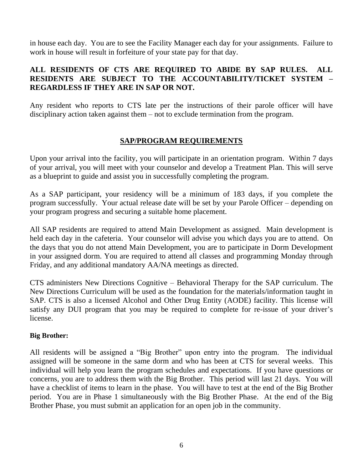in house each day. You are to see the Facility Manager each day for your assignments. Failure to work in house will result in forfeiture of your state pay for that day.

## **ALL RESIDENTS OF CTS ARE REQUIRED TO ABIDE BY SAP RULES. ALL RESIDENTS ARE SUBJECT TO THE ACCOUNTABILITY/TICKET SYSTEM – REGARDLESS IF THEY ARE IN SAP OR NOT.**

Any resident who reports to CTS late per the instructions of their parole officer will have disciplinary action taken against them – not to exclude termination from the program.

## **SAP/PROGRAM REQUIREMENTS**

Upon your arrival into the facility, you will participate in an orientation program. Within 7 days of your arrival, you will meet with your counselor and develop a Treatment Plan. This will serve as a blueprint to guide and assist you in successfully completing the program.

As a SAP participant, your residency will be a minimum of 183 days, if you complete the program successfully. Your actual release date will be set by your Parole Officer – depending on your program progress and securing a suitable home placement.

All SAP residents are required to attend Main Development as assigned. Main development is held each day in the cafeteria. Your counselor will advise you which days you are to attend. On the days that you do not attend Main Development, you are to participate in Dorm Development in your assigned dorm. You are required to attend all classes and programming Monday through Friday, and any additional mandatory AA/NA meetings as directed.

CTS administers New Directions Cognitive – Behavioral Therapy for the SAP curriculum. The New Directions Curriculum will be used as the foundation for the materials/information taught in SAP. CTS is also a licensed Alcohol and Other Drug Entity (AODE) facility. This license will satisfy any DUI program that you may be required to complete for re-issue of your driver's license.

#### **Big Brother:**

All residents will be assigned a "Big Brother" upon entry into the program. The individual assigned will be someone in the same dorm and who has been at CTS for several weeks. This individual will help you learn the program schedules and expectations. If you have questions or concerns, you are to address them with the Big Brother. This period will last 21 days. You will have a checklist of items to learn in the phase. You will have to test at the end of the Big Brother period. You are in Phase 1 simultaneously with the Big Brother Phase. At the end of the Big Brother Phase, you must submit an application for an open job in the community.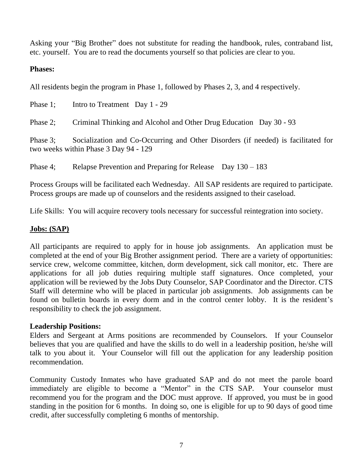Asking your "Big Brother" does not substitute for reading the handbook, rules, contraband list, etc. yourself. You are to read the documents yourself so that policies are clear to you.

#### **Phases:**

All residents begin the program in Phase 1, followed by Phases 2, 3, and 4 respectively.

Phase 1; Intro to Treatment Day 1 - 29 Phase 2; Criminal Thinking and Alcohol and Other Drug Education Day 30 - 93 Phase 3; Socialization and Co-Occurring and Other Disorders (if needed) is facilitated for two weeks within Phase 3 Day 94 - 129

Phase 4; Relapse Prevention and Preparing for Release Day  $130 - 183$ 

Process Groups will be facilitated each Wednesday. All SAP residents are required to participate. Process groups are made up of counselors and the residents assigned to their caseload.

Life Skills: You will acquire recovery tools necessary for successful reintegration into society.

## **Jobs: (SAP)**

All participants are required to apply for in house job assignments. An application must be completed at the end of your Big Brother assignment period. There are a variety of opportunities: service crew, welcome committee, kitchen, dorm development, sick call monitor, etc. There are applications for all job duties requiring multiple staff signatures. Once completed, your application will be reviewed by the Jobs Duty Counselor, SAP Coordinator and the Director. CTS Staff will determine who will be placed in particular job assignments. Job assignments can be found on bulletin boards in every dorm and in the control center lobby. It is the resident's responsibility to check the job assignment.

#### **Leadership Positions:**

Elders and Sergeant at Arms positions are recommended by Counselors. If your Counselor believes that you are qualified and have the skills to do well in a leadership position, he/she will talk to you about it. Your Counselor will fill out the application for any leadership position recommendation.

Community Custody Inmates who have graduated SAP and do not meet the parole board immediately are eligible to become a "Mentor" in the CTS SAP. Your counselor must recommend you for the program and the DOC must approve. If approved, you must be in good standing in the position for 6 months. In doing so, one is eligible for up to 90 days of good time credit, after successfully completing 6 months of mentorship.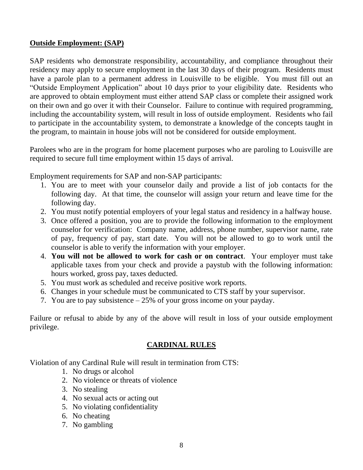## **Outside Employment: (SAP)**

SAP residents who demonstrate responsibility, accountability, and compliance throughout their residency may apply to secure employment in the last 30 days of their program. Residents must have a parole plan to a permanent address in Louisville to be eligible. You must fill out an "Outside Employment Application" about 10 days prior to your eligibility date. Residents who are approved to obtain employment must either attend SAP class or complete their assigned work on their own and go over it with their Counselor. Failure to continue with required programming, including the accountability system, will result in loss of outside employment. Residents who fail to participate in the accountability system, to demonstrate a knowledge of the concepts taught in the program, to maintain in house jobs will not be considered for outside employment.

Parolees who are in the program for home placement purposes who are paroling to Louisville are required to secure full time employment within 15 days of arrival.

Employment requirements for SAP and non-SAP participants:

- 1. You are to meet with your counselor daily and provide a list of job contacts for the following day. At that time, the counselor will assign your return and leave time for the following day.
- 2. You must notify potential employers of your legal status and residency in a halfway house.
- 3. Once offered a position, you are to provide the following information to the employment counselor for verification: Company name, address, phone number, supervisor name, rate of pay, frequency of pay, start date. You will not be allowed to go to work until the counselor is able to verify the information with your employer.
- 4. **You will not be allowed to work for cash or on contract**. Your employer must take applicable taxes from your check and provide a paystub with the following information: hours worked, gross pay, taxes deducted.
- 5. You must work as scheduled and receive positive work reports.
- 6. Changes in your schedule must be communicated to CTS staff by your supervisor.
- 7. You are to pay subsistence 25% of your gross income on your payday.

Failure or refusal to abide by any of the above will result in loss of your outside employment privilege.

# **CARDINAL RULES**

Violation of any Cardinal Rule will result in termination from CTS:

- 1. No drugs or alcohol
- 2. No violence or threats of violence
- 3. No stealing
- 4. No sexual acts or acting out
- 5. No violating confidentiality
- 6. No cheating
- 7. No gambling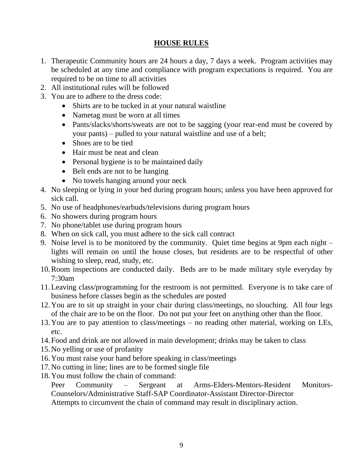# **HOUSE RULES**

- 1. Therapeutic Community hours are 24 hours a day, 7 days a week. Program activities may be scheduled at any time and compliance with program expectations is required. You are required to be on time to all activities
- 2. All institutional rules will be followed
- 3. You are to adhere to the dress code:
	- Shirts are to be tucked in at your natural waistline
	- Nametag must be worn at all times
	- Pants/slacks/shorts/sweats are not to be sagging (your rear-end must be covered by your pants) – pulled to your natural waistline and use of a belt;
	- Shoes are to be tied
	- Hair must be neat and clean
	- Personal hygiene is to be maintained daily
	- Belt ends are not to be hanging
	- No towels hanging around your neck
- 4. No sleeping or lying in your bed during program hours; unless you have been approved for sick call.
- 5. No use of headphones/earbuds/televisions during program hours
- 6. No showers during program hours
- 7. No phone/tablet use during program hours
- 8. When on sick call, you must adhere to the sick call contract
- 9. Noise level is to be monitored by the community. Quiet time begins at 9pm each night lights will remain on until the house closes, but residents are to be respectful of other wishing to sleep, read, study, etc.
- 10.Room inspections are conducted daily. Beds are to be made military style everyday by 7:30am
- 11.Leaving class/programming for the restroom is not permitted. Everyone is to take care of business before classes begin as the schedules are posted
- 12.You are to sit up straight in your chair during class/meetings, no slouching. All four legs of the chair are to be on the floor. Do not put your feet on anything other than the floor.
- 13.You are to pay attention to class/meetings no reading other material, working on LEs, etc.
- 14.Food and drink are not allowed in main development; drinks may be taken to class
- 15.No yelling or use of profanity
- 16.You must raise your hand before speaking in class/meetings
- 17.No cutting in line; lines are to be formed single file
- 18.You must follow the chain of command:

Peer Community – Sergeant at Arms-Elders-Mentors-Resident Monitors-Counselors/Administrative Staff-SAP Coordinator-Assistant Director-Director Attempts to circumvent the chain of command may result in disciplinary action.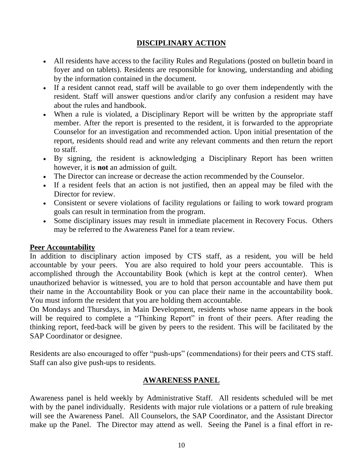# **DISCIPLINARY ACTION**

- All residents have access to the facility Rules and Regulations (posted on bulletin board in foyer and on tablets). Residents are responsible for knowing, understanding and abiding by the information contained in the document.
- If a resident cannot read, staff will be available to go over them independently with the resident. Staff will answer questions and/or clarify any confusion a resident may have about the rules and handbook.
- When a rule is violated, a Disciplinary Report will be written by the appropriate staff member. After the report is presented to the resident, it is forwarded to the appropriate Counselor for an investigation and recommended action. Upon initial presentation of the report, residents should read and write any relevant comments and then return the report to staff.
- By signing, the resident is acknowledging a Disciplinary Report has been written however, it is **not** an admission of guilt.
- The Director can increase or decrease the action recommended by the Counselor.
- If a resident feels that an action is not justified, then an appeal may be filed with the Director for review.
- Consistent or severe violations of facility regulations or failing to work toward program goals can result in termination from the program.
- Some disciplinary issues may result in immediate placement in Recovery Focus. Others may be referred to the Awareness Panel for a team review.

#### **Peer Accountability**

In addition to disciplinary action imposed by CTS staff, as a resident, you will be held accountable by your peers. You are also required to hold your peers accountable. This is accomplished through the Accountability Book (which is kept at the control center). When unauthorized behavior is witnessed, you are to hold that person accountable and have them put their name in the Accountability Book or you can place their name in the accountability book. You must inform the resident that you are holding them accountable.

On Mondays and Thursdays, in Main Development, residents whose name appears in the book will be required to complete a "Thinking Report" in front of their peers. After reading the thinking report, feed-back will be given by peers to the resident. This will be facilitated by the SAP Coordinator or designee.

Residents are also encouraged to offer "push-ups" (commendations) for their peers and CTS staff. Staff can also give push-ups to residents.

#### **AWARENESS PANEL**

Awareness panel is held weekly by Administrative Staff. All residents scheduled will be met with by the panel individually. Residents with major rule violations or a pattern of rule breaking will see the Awareness Panel. All Counselors, the SAP Coordinator, and the Assistant Director make up the Panel. The Director may attend as well. Seeing the Panel is a final effort in re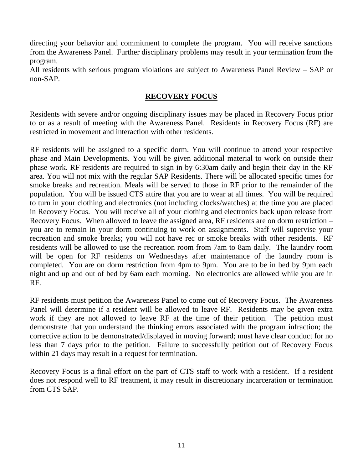directing your behavior and commitment to complete the program. You will receive sanctions from the Awareness Panel. Further disciplinary problems may result in your termination from the program.

All residents with serious program violations are subject to Awareness Panel Review – SAP or non-SAP.

#### **RECOVERY FOCUS**

Residents with severe and/or ongoing disciplinary issues may be placed in Recovery Focus prior to or as a result of meeting with the Awareness Panel. Residents in Recovery Focus (RF) are restricted in movement and interaction with other residents.

RF residents will be assigned to a specific dorm. You will continue to attend your respective phase and Main Developments. You will be given additional material to work on outside their phase work. RF residents are required to sign in by 6:30am daily and begin their day in the RF area. You will not mix with the regular SAP Residents. There will be allocated specific times for smoke breaks and recreation. Meals will be served to those in RF prior to the remainder of the population. You will be issued CTS attire that you are to wear at all times. You will be required to turn in your clothing and electronics (not including clocks/watches) at the time you are placed in Recovery Focus. You will receive all of your clothing and electronics back upon release from Recovery Focus. When allowed to leave the assigned area, RF residents are on dorm restriction – you are to remain in your dorm continuing to work on assignments. Staff will supervise your recreation and smoke breaks; you will not have rec or smoke breaks with other residents. RF residents will be allowed to use the recreation room from 7am to 8am daily. The laundry room will be open for RF residents on Wednesdays after maintenance of the laundry room is completed. You are on dorm restriction from 4pm to 9pm. You are to be in bed by 9pm each night and up and out of bed by 6am each morning. No electronics are allowed while you are in RF.

RF residents must petition the Awareness Panel to come out of Recovery Focus. The Awareness Panel will determine if a resident will be allowed to leave RF. Residents may be given extra work if they are not allowed to leave RF at the time of their petition. The petition must demonstrate that you understand the thinking errors associated with the program infraction; the corrective action to be demonstrated/displayed in moving forward; must have clear conduct for no less than 7 days prior to the petition. Failure to successfully petition out of Recovery Focus within 21 days may result in a request for termination.

Recovery Focus is a final effort on the part of CTS staff to work with a resident. If a resident does not respond well to RF treatment, it may result in discretionary incarceration or termination from CTS SAP.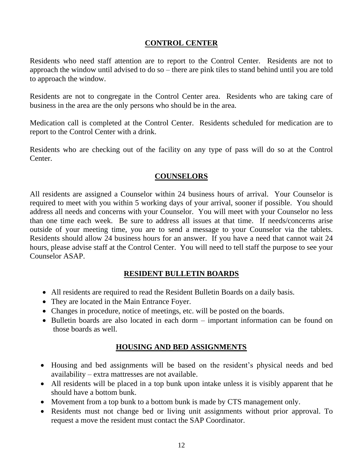## **CONTROL CENTER**

Residents who need staff attention are to report to the Control Center. Residents are not to approach the window until advised to do so – there are pink tiles to stand behind until you are told to approach the window.

Residents are not to congregate in the Control Center area. Residents who are taking care of business in the area are the only persons who should be in the area.

Medication call is completed at the Control Center. Residents scheduled for medication are to report to the Control Center with a drink.

Residents who are checking out of the facility on any type of pass will do so at the Control Center.

#### **COUNSELORS**

All residents are assigned a Counselor within 24 business hours of arrival. Your Counselor is required to meet with you within 5 working days of your arrival, sooner if possible. You should address all needs and concerns with your Counselor. You will meet with your Counselor no less than one time each week. Be sure to address all issues at that time. If needs/concerns arise outside of your meeting time, you are to send a message to your Counselor via the tablets. Residents should allow 24 business hours for an answer. If you have a need that cannot wait 24 hours, please advise staff at the Control Center. You will need to tell staff the purpose to see your Counselor ASAP.

# **RESIDENT BULLETIN BOARDS**

- All residents are required to read the Resident Bulletin Boards on a daily basis.
- They are located in the Main Entrance Foyer.
- Changes in procedure, notice of meetings, etc. will be posted on the boards.
- Bulletin boards are also located in each dorm important information can be found on those boards as well.

# **HOUSING AND BED ASSIGNMENTS**

- Housing and bed assignments will be based on the resident's physical needs and bed availability – extra mattresses are not available.
- All residents will be placed in a top bunk upon intake unless it is visibly apparent that he should have a bottom bunk.
- Movement from a top bunk to a bottom bunk is made by CTS management only.
- Residents must not change bed or living unit assignments without prior approval. To request a move the resident must contact the SAP Coordinator.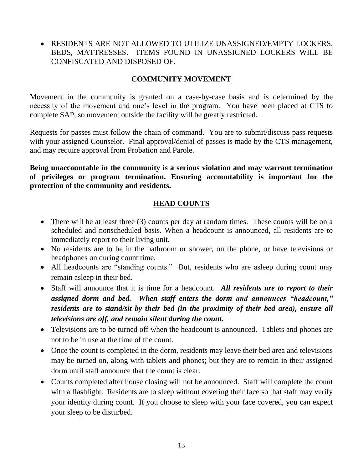• RESIDENTS ARE NOT ALLOWED TO UTILIZE UNASSIGNED/EMPTY LOCKERS, BEDS, MATTRESSES. ITEMS FOUND IN UNASSIGNED LOCKERS WILL BE CONFISCATED AND DISPOSED OF.

## **COMMUNITY MOVEMENT**

Movement in the community is granted on a case-by-case basis and is determined by the necessity of the movement and one's level in the program. You have been placed at CTS to complete SAP, so movement outside the facility will be greatly restricted.

Requests for passes must follow the chain of command. You are to submit/discuss pass requests with your assigned Counselor. Final approval/denial of passes is made by the CTS management, and may require approval from Probation and Parole.

**Being unaccountable in the community is a serious violation and may warrant termination of privileges or program termination. Ensuring accountability is important for the protection of the community and residents.**

# **HEAD COUNTS**

- There will be at least three (3) counts per day at random times. These counts will be on a scheduled and nonscheduled basis. When a headcount is announced, all residents are to immediately report to their living unit.
- No residents are to be in the bathroom or shower, on the phone, or have televisions or headphones on during count time.
- All headcounts are "standing counts." But, residents who are asleep during count may remain asleep in their bed.
- Staff will announce that it is time for a headcount. *All residents are to report to their assigned dorm and bed. When staff enters the dorm and announces "headcount," residents are to stand/sit by their bed (in the proximity of their bed area), ensure all televisions are off, and remain silent during the count.*
- Televisions are to be turned off when the headcount is announced. Tablets and phones are not to be in use at the time of the count.
- Once the count is completed in the dorm, residents may leave their bed area and televisions may be turned on, along with tablets and phones; but they are to remain in their assigned dorm until staff announce that the count is clear.
- Counts completed after house closing will not be announced. Staff will complete the count with a flashlight. Residents are to sleep without covering their face so that staff may verify your identity during count. If you choose to sleep with your face covered, you can expect your sleep to be disturbed.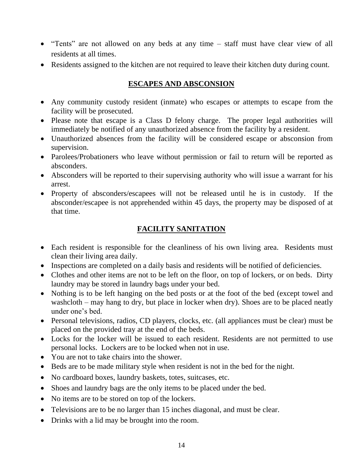- "Tents" are not allowed on any beds at any time staff must have clear view of all residents at all times.
- Residents assigned to the kitchen are not required to leave their kitchen duty during count.

# **ESCAPES AND ABSCONSION**

- Any community custody resident (inmate) who escapes or attempts to escape from the facility will be prosecuted.
- Please note that escape is a Class D felony charge. The proper legal authorities will immediately be notified of any unauthorized absence from the facility by a resident.
- Unauthorized absences from the facility will be considered escape or absconsion from supervision.
- Parolees/Probationers who leave without permission or fail to return will be reported as absconders.
- Absconders will be reported to their supervising authority who will issue a warrant for his arrest.
- Property of absconders/escapees will not be released until he is in custody. If the absconder/escapee is not apprehended within 45 days, the property may be disposed of at that time.

# **FACILITY SANITATION**

- Each resident is responsible for the cleanliness of his own living area. Residents must clean their living area daily.
- Inspections are completed on a daily basis and residents will be notified of deficiencies.
- Clothes and other items are not to be left on the floor, on top of lockers, or on beds. Dirty laundry may be stored in laundry bags under your bed.
- Nothing is to be left hanging on the bed posts or at the foot of the bed (except towel and washcloth – may hang to dry, but place in locker when dry). Shoes are to be placed neatly under one's bed.
- Personal televisions, radios, CD players, clocks, etc. (all appliances must be clear) must be placed on the provided tray at the end of the beds.
- Locks for the locker will be issued to each resident. Residents are not permitted to use personal locks. Lockers are to be locked when not in use.
- You are not to take chairs into the shower.
- Beds are to be made military style when resident is not in the bed for the night.
- No cardboard boxes, laundry baskets, totes, suitcases, etc.
- Shoes and laundry bags are the only items to be placed under the bed.
- No items are to be stored on top of the lockers.
- Televisions are to be no larger than 15 inches diagonal, and must be clear.
- Drinks with a lid may be brought into the room.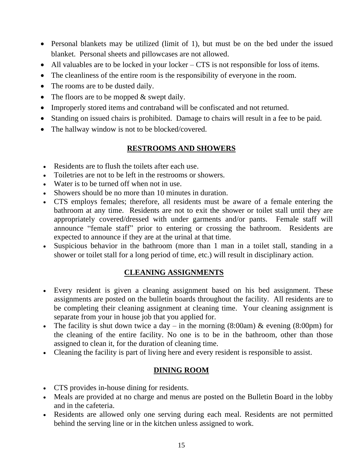- Personal blankets may be utilized (limit of 1), but must be on the bed under the issued blanket. Personal sheets and pillowcases are not allowed.
- All valuables are to be locked in your locker CTS is not responsible for loss of items.
- The cleanliness of the entire room is the responsibility of everyone in the room.
- The rooms are to be dusted daily.
- The floors are to be mopped & swept daily.
- Improperly stored items and contraband will be confiscated and not returned.
- Standing on issued chairs is prohibited. Damage to chairs will result in a fee to be paid.
- The hallway window is not to be blocked/covered.

## **RESTROOMS AND SHOWERS**

- Residents are to flush the toilets after each use.
- Toiletries are not to be left in the restrooms or showers.
- Water is to be turned off when not in use.
- Showers should be no more than 10 minutes in duration.
- CTS employs females; therefore, all residents must be aware of a female entering the bathroom at any time. Residents are not to exit the shower or toilet stall until they are appropriately covered/dressed with under garments and/or pants. Female staff will announce "female staff" prior to entering or crossing the bathroom. Residents are expected to announce if they are at the urinal at that time.
- Suspicious behavior in the bathroom (more than 1 man in a toilet stall, standing in a shower or toilet stall for a long period of time, etc.) will result in disciplinary action.

#### **CLEANING ASSIGNMENTS**

- Every resident is given a cleaning assignment based on his bed assignment. These assignments are posted on the bulletin boards throughout the facility. All residents are to be completing their cleaning assignment at cleaning time. Your cleaning assignment is separate from your in house job that you applied for.
- The facility is shut down twice a day in the morning  $(8:00am)$  & evening  $(8:00pm)$  for the cleaning of the entire facility. No one is to be in the bathroom, other than those assigned to clean it, for the duration of cleaning time.
- Cleaning the facility is part of living here and every resident is responsible to assist.

#### **DINING ROOM**

- CTS provides in-house dining for residents.
- Meals are provided at no charge and menus are posted on the Bulletin Board in the lobby and in the cafeteria.
- Residents are allowed only one serving during each meal. Residents are not permitted behind the serving line or in the kitchen unless assigned to work.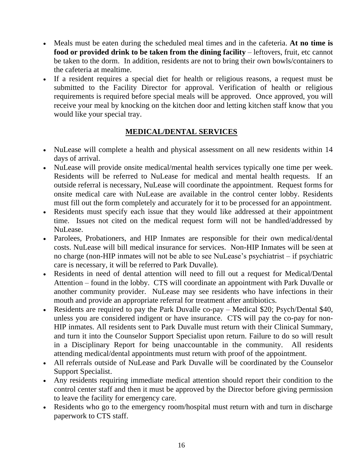- Meals must be eaten during the scheduled meal times and in the cafeteria. **At no time is food or provided drink to be taken from the dining facility** – leftovers, fruit, etc cannot be taken to the dorm. In addition, residents are not to bring their own bowls/containers to the cafeteria at mealtime.
- If a resident requires a special diet for health or religious reasons, a request must be submitted to the Facility Director for approval. Verification of health or religious requirements is required before special meals will be approved. Once approved, you will receive your meal by knocking on the kitchen door and letting kitchen staff know that you would like your special tray.

# **MEDICAL/DENTAL SERVICES**

- NuLease will complete a health and physical assessment on all new residents within 14 days of arrival.
- NuLease will provide onsite medical/mental health services typically one time per week. Residents will be referred to NuLease for medical and mental health requests. If an outside referral is necessary, NuLease will coordinate the appointment. Request forms for onsite medical care with NuLease are available in the control center lobby. Residents must fill out the form completely and accurately for it to be processed for an appointment.
- Residents must specify each issue that they would like addressed at their appointment time. Issues not cited on the medical request form will not be handled/addressed by NuLease.
- Parolees, Probationers, and HIP Inmates are responsible for their own medical/dental costs. NuLease will bill medical insurance for services. Non-HIP Inmates will be seen at no charge (non-HIP inmates will not be able to see NuLease's psychiatrist – if psychiatric care is necessary, it will be referred to Park Duvalle).
- Residents in need of dental attention will need to fill out a request for Medical/Dental Attention – found in the lobby. CTS will coordinate an appointment with Park Duvalle or another community provider. NuLease may see residents who have infections in their mouth and provide an appropriate referral for treatment after antibiotics.
- Residents are required to pay the Park Duvalle co-pay Medical \$20; Psych/Dental \$40, unless you are considered indigent or have insurance. CTS will pay the co-pay for non-HIP inmates. All residents sent to Park Duvalle must return with their Clinical Summary, and turn it into the Counselor Support Specialist upon return. Failure to do so will result in a Disciplinary Report for being unaccountable in the community. All residents attending medical/dental appointments must return with proof of the appointment.
- All referrals outside of NuLease and Park Duvalle will be coordinated by the Counselor Support Specialist.
- Any residents requiring immediate medical attention should report their condition to the control center staff and then it must be approved by the Director before giving permission to leave the facility for emergency care.
- Residents who go to the emergency room/hospital must return with and turn in discharge paperwork to CTS staff.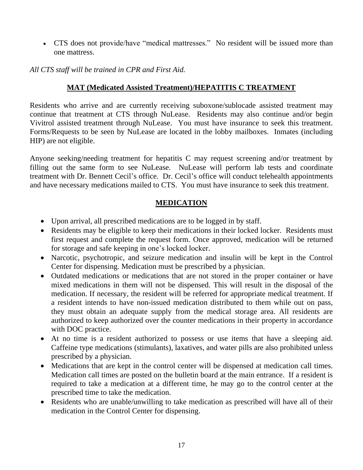• CTS does not provide/have "medical mattresses." No resident will be issued more than one mattress.

*All CTS staff will be trained in CPR and First Aid.*

# **MAT (Medicated Assisted Treatment)/HEPATITIS C TREATMENT**

Residents who arrive and are currently receiving suboxone/sublocade assisted treatment may continue that treatment at CTS through NuLease. Residents may also continue and/or begin Vivitrol assisted treatment through NuLease. You must have insurance to seek this treatment. Forms/Requests to be seen by NuLease are located in the lobby mailboxes. Inmates (including HIP) are not eligible.

Anyone seeking/needing treatment for hepatitis C may request screening and/or treatment by filling out the same form to see NuLease. NuLease will perform lab tests and coordinate treatment with Dr. Bennett Cecil's office. Dr. Cecil's office will conduct telehealth appointments and have necessary medications mailed to CTS. You must have insurance to seek this treatment.

# **MEDICATION**

- Upon arrival, all prescribed medications are to be logged in by staff.
- Residents may be eligible to keep their medications in their locked locker. Residents must first request and complete the request form. Once approved, medication will be returned for storage and safe keeping in one's locked locker.
- Narcotic, psychotropic, and seizure medication and insulin will be kept in the Control Center for dispensing. Medication must be prescribed by a physician.
- Outdated medications or medications that are not stored in the proper container or have mixed medications in them will not be dispensed. This will result in the disposal of the medication. If necessary, the resident will be referred for appropriate medical treatment. If a resident intends to have non-issued medication distributed to them while out on pass, they must obtain an adequate supply from the medical storage area. All residents are authorized to keep authorized over the counter medications in their property in accordance with DOC practice.
- At no time is a resident authorized to possess or use items that have a sleeping aid. Caffeine type medications (stimulants), laxatives, and water pills are also prohibited unless prescribed by a physician.
- Medications that are kept in the control center will be dispensed at medication call times. Medication call times are posted on the bulletin board at the main entrance. If a resident is required to take a medication at a different time, he may go to the control center at the prescribed time to take the medication.
- Residents who are unable/unwilling to take medication as prescribed will have all of their medication in the Control Center for dispensing.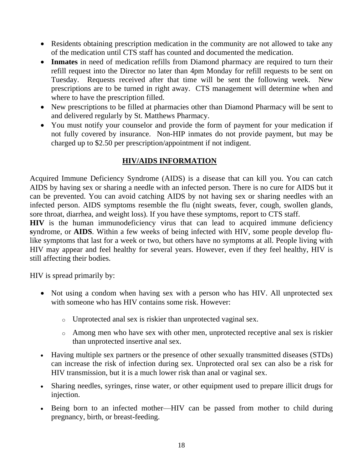- Residents obtaining prescription medication in the community are not allowed to take any of the medication until CTS staff has counted and documented the medication.
- **Inmates** in need of medication refills from Diamond pharmacy are required to turn their refill request into the Director no later than 4pm Monday for refill requests to be sent on Tuesday. Requests received after that time will be sent the following week. New prescriptions are to be turned in right away. CTS management will determine when and where to have the prescription filled.
- New prescriptions to be filled at pharmacies other than Diamond Pharmacy will be sent to and delivered regularly by St. Matthews Pharmacy.
- You must notify your counselor and provide the form of payment for your medication if not fully covered by insurance. Non-HIP inmates do not provide payment, but may be charged up to \$2.50 per prescription/appointment if not indigent.

## **HIV/AIDS INFORMATION**

Acquired Immune Deficiency Syndrome (AIDS) is a disease that can kill you. You can catch AIDS by having sex or sharing a needle with an infected person. There is no cure for AIDS but it can be prevented. You can avoid catching AIDS by not having sex or sharing needles with an infected person. AIDS symptoms resemble the flu (night sweats, fever, cough, swollen glands, sore throat, diarrhea, and weight loss). If you have these symptoms, report to CTS staff.

**HIV** is the human immunodeficiency virus that can lead to acquired immune deficiency **s**yndrome, or **AIDS**. Within a few weeks of being infected with HIV, some people develop flulike symptoms that last for a week or two, but others have no symptoms at all. People living with HIV may appear and feel healthy for several years. However, even if they feel healthy, HIV is still affecting their bodies.

HIV is spread primarily by:

- Not using a condom when having sex with a person who has HIV. All unprotected sex with someone who has HIV contains some risk. However:
	- o Unprotected anal sex is riskier than unprotected vaginal sex.
	- o Among men who have sex with other men, unprotected receptive anal sex is riskier than unprotected insertive anal sex.
- Having multiple sex partners or the presence of other sexually transmitted diseases (STDs) can increase the risk of infection during sex. Unprotected oral sex can also be a risk for HIV transmission, but it is a much lower risk than anal or vaginal sex.
- Sharing needles, syringes, rinse water, or other equipment used to prepare illicit drugs for injection.
- Being born to an infected mother—HIV can be passed from mother to child during pregnancy, birth, or breast-feeding.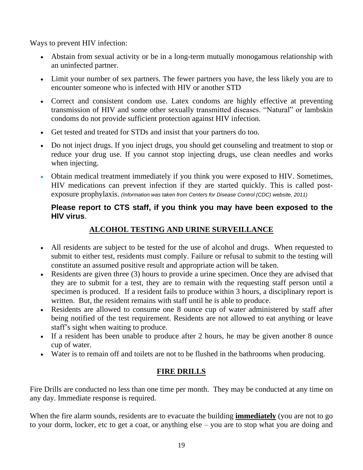Ways to prevent HIV infection:

- Abstain from sexual activity or be in a long-term mutually monogamous relationship with an uninfected partner.
- Limit your number of sex partners. The fewer partners you have, the less likely you are to encounter someone who is infected with HIV or another STD
- Correct and consistent condom use. Latex condoms are highly effective at preventing transmission of HIV and some other sexually transmitted diseases. "Natural" or lambskin condoms do not provide sufficient protection against HIV infection.
- Get tested and treated for STDs and insist that your partners do too.
- Do not inject drugs. If you inject drugs, you should get counseling and treatment to stop or reduce your drug use. If you cannot stop injecting drugs, use clean needles and works when injecting.
- Obtain medical treatment immediately if you think you were exposed to HIV. Sometimes, HIV medications can prevent infection if they are started quickly. This is called postexposure prophylaxis. *(Information was taken from Centers for Disease Control (CDC) website, 2011)*

# **Please report to CTS staff, if you think you may have been exposed to the HIV virus**.

# **ALCOHOL TESTING AND URINE SURVEILLANCE**

- All residents are subject to be tested for the use of alcohol and drugs. When requested to submit to either test, residents must comply. Failure or refusal to submit to the testing will constitute an assumed positive result and appropriate action will be taken.
- Residents are given three (3) hours to provide a urine specimen. Once they are advised that they are to submit for a test, they are to remain with the requesting staff person until a specimen is produced. If a resident fails to produce within 3 hours, a disciplinary report is written. But, the resident remains with staff until he is able to produce.
- Residents are allowed to consume one 8 ounce cup of water administered by staff after being notified of the test requirement. Residents are not allowed to eat anything or leave staff's sight when waiting to produce.
- If a resident has been unable to produce after 2 hours, he may be given another 8 ounce cup of water.
- Water is to remain off and toilets are not to be flushed in the bathrooms when producing.

# **FIRE DRILLS**

Fire Drills are conducted no less than one time per month. They may be conducted at any time on any day. Immediate response is required.

When the fire alarm sounds, residents are to evacuate the building **immediately** (you are not to go to your dorm, locker, etc to get a coat, or anything else – you are to stop what you are doing and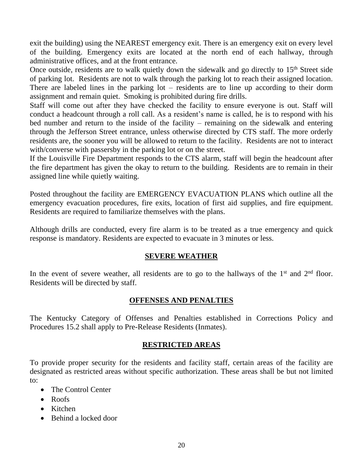exit the building) using the NEAREST emergency exit. There is an emergency exit on every level of the building. Emergency exits are located at the north end of each hallway, through administrative offices, and at the front entrance.

Once outside, residents are to walk quietly down the sidewalk and go directly to  $15<sup>th</sup>$  Street side of parking lot. Residents are not to walk through the parking lot to reach their assigned location. There are labeled lines in the parking lot – residents are to line up according to their dorm assignment and remain quiet. Smoking is prohibited during fire drills.

Staff will come out after they have checked the facility to ensure everyone is out. Staff will conduct a headcount through a roll call. As a resident's name is called, he is to respond with his bed number and return to the inside of the facility – remaining on the sidewalk and entering through the Jefferson Street entrance, unless otherwise directed by CTS staff. The more orderly residents are, the sooner you will be allowed to return to the facility. Residents are not to interact with/converse with passersby in the parking lot or on the street.

If the Louisville Fire Department responds to the CTS alarm, staff will begin the headcount after the fire department has given the okay to return to the building. Residents are to remain in their assigned line while quietly waiting.

Posted throughout the facility are EMERGENCY EVACUATION PLANS which outline all the emergency evacuation procedures, fire exits, location of first aid supplies, and fire equipment. Residents are required to familiarize themselves with the plans.

Although drills are conducted, every fire alarm is to be treated as a true emergency and quick response is mandatory. Residents are expected to evacuate in 3 minutes or less.

#### **SEVERE WEATHER**

In the event of severe weather, all residents are to go to the hallways of the  $1<sup>st</sup>$  and  $2<sup>nd</sup>$  floor. Residents will be directed by staff.

# **OFFENSES AND PENALTIES**

The Kentucky Category of Offenses and Penalties established in Corrections Policy and Procedures 15.2 shall apply to Pre-Release Residents (Inmates).

# **RESTRICTED AREAS**

To provide proper security for the residents and facility staff, certain areas of the facility are designated as restricted areas without specific authorization. These areas shall be but not limited to:

- The Control Center
- Roofs
- Kitchen
- Behind a locked door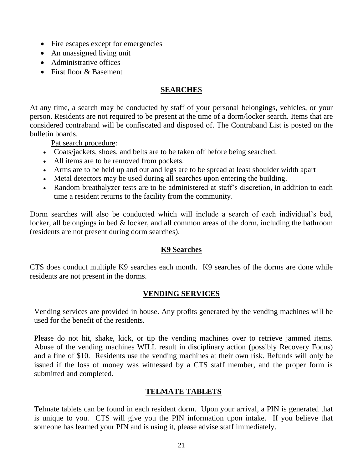- Fire escapes except for emergencies
- An unassigned living unit
- Administrative offices
- First floor & Basement

#### **SEARCHES**

At any time, a search may be conducted by staff of your personal belongings, vehicles, or your person. Residents are not required to be present at the time of a dorm/locker search. Items that are considered contraband will be confiscated and disposed of. The Contraband List is posted on the bulletin boards.

Pat search procedure:

- Coats/jackets, shoes, and belts are to be taken off before being searched.
- All items are to be removed from pockets.
- Arms are to be held up and out and legs are to be spread at least shoulder width apart
- Metal detectors may be used during all searches upon entering the building.
- Random breathalyzer tests are to be administered at staff's discretion, in addition to each time a resident returns to the facility from the community.

Dorm searches will also be conducted which will include a search of each individual's bed, locker, all belongings in bed & locker, and all common areas of the dorm, including the bathroom (residents are not present during dorm searches).

#### **K9 Searches**

CTS does conduct multiple K9 searches each month. K9 searches of the dorms are done while residents are not present in the dorms.

#### **VENDING SERVICES**

Vending services are provided in house. Any profits generated by the vending machines will be used for the benefit of the residents.

Please do not hit, shake, kick, or tip the vending machines over to retrieve jammed items. Abuse of the vending machines WILL result in disciplinary action (possibly Recovery Focus) and a fine of \$10. Residents use the vending machines at their own risk. Refunds will only be issued if the loss of money was witnessed by a CTS staff member, and the proper form is submitted and completed.

#### **TELMATE TABLETS**

Telmate tablets can be found in each resident dorm. Upon your arrival, a PIN is generated that is unique to you. CTS will give you the PIN information upon intake. If you believe that someone has learned your PIN and is using it, please advise staff immediately.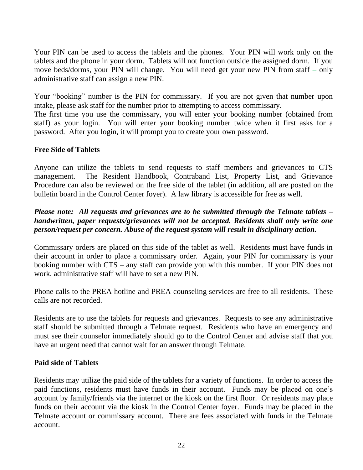Your PIN can be used to access the tablets and the phones. Your PIN will work only on the tablets and the phone in your dorm. Tablets will not function outside the assigned dorm. If you move beds/dorms, your PIN will change. You will need get your new PIN from staff – only administrative staff can assign a new PIN.

Your "booking" number is the PIN for commissary. If you are not given that number upon intake, please ask staff for the number prior to attempting to access commissary.

The first time you use the commissary, you will enter your booking number (obtained from staff) as your login. You will enter your booking number twice when it first asks for a password. After you login, it will prompt you to create your own password.

#### **Free Side of Tablets**

Anyone can utilize the tablets to send requests to staff members and grievances to CTS management. The Resident Handbook, Contraband List, Property List, and Grievance Procedure can also be reviewed on the free side of the tablet (in addition, all are posted on the bulletin board in the Control Center foyer). A law library is accessible for free as well.

## *Please note: All requests and grievances are to be submitted through the Telmate tablets – handwritten, paper requests/grievances will not be accepted. Residents shall only write one person/request per concern. Abuse of the request system will result in disciplinary action.*

Commissary orders are placed on this side of the tablet as well. Residents must have funds in their account in order to place a commissary order. Again, your PIN for commissary is your booking number with CTS – any staff can provide you with this number. If your PIN does not work, administrative staff will have to set a new PIN.

Phone calls to the PREA hotline and PREA counseling services are free to all residents. These calls are not recorded.

Residents are to use the tablets for requests and grievances. Requests to see any administrative staff should be submitted through a Telmate request. Residents who have an emergency and must see their counselor immediately should go to the Control Center and advise staff that you have an urgent need that cannot wait for an answer through Telmate.

#### **Paid side of Tablets**

Residents may utilize the paid side of the tablets for a variety of functions. In order to access the paid functions, residents must have funds in their account. Funds may be placed on one's account by family/friends via the internet or the kiosk on the first floor. Or residents may place funds on their account via the kiosk in the Control Center foyer. Funds may be placed in the Telmate account or commissary account. There are fees associated with funds in the Telmate account.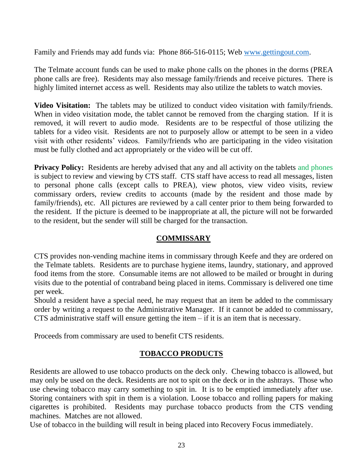Family and Friends may add funds via: Phone 866-516-0115; Web [www.gettingout.com.](http://www.gettingout.com/)

The Telmate account funds can be used to make phone calls on the phones in the dorms (PREA phone calls are free). Residents may also message family/friends and receive pictures. There is highly limited internet access as well. Residents may also utilize the tablets to watch movies.

**Video Visitation:** The tablets may be utilized to conduct video visitation with family/friends. When in video visitation mode, the tablet cannot be removed from the charging station. If it is removed, it will revert to audio mode. Residents are to be respectful of those utilizing the tablets for a video visit. Residents are not to purposely allow or attempt to be seen in a video visit with other residents' videos. Family/friends who are participating in the video visitation must be fully clothed and act appropriately or the video will be cut off.

**Privacy Policy:** Residents are hereby advised that any and all activity on the tablets and phones is subject to review and viewing by CTS staff. CTS staff have access to read all messages, listen to personal phone calls (except calls to PREA), view photos, view video visits, review commissary orders, review credits to accounts (made by the resident and those made by family/friends), etc. All pictures are reviewed by a call center prior to them being forwarded to the resident. If the picture is deemed to be inappropriate at all, the picture will not be forwarded to the resident, but the sender will still be charged for the transaction.

# **COMMISSARY**

CTS provides non-vending machine items in commissary through Keefe and they are ordered on the Telmate tablets. Residents are to purchase hygiene items, laundry, stationary, and approved food items from the store. Consumable items are not allowed to be mailed or brought in during visits due to the potential of contraband being placed in items. Commissary is delivered one time per week.

Should a resident have a special need, he may request that an item be added to the commissary order by writing a request to the Administrative Manager. If it cannot be added to commissary, CTS administrative staff will ensure getting the item  $-$  if it is an item that is necessary.

Proceeds from commissary are used to benefit CTS residents.

# **TOBACCO PRODUCTS**

Residents are allowed to use tobacco products on the deck only. Chewing tobacco is allowed, but may only be used on the deck. Residents are not to spit on the deck or in the ashtrays. Those who use chewing tobacco may carry something to spit in. It is to be emptied immediately after use. Storing containers with spit in them is a violation. Loose tobacco and rolling papers for making cigarettes is prohibited. Residents may purchase tobacco products from the CTS vending machines. Matches are not allowed.

Use of tobacco in the building will result in being placed into Recovery Focus immediately.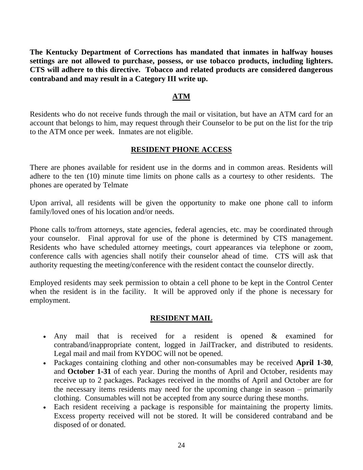**The Kentucky Department of Corrections has mandated that inmates in halfway houses settings are not allowed to purchase, possess, or use tobacco products, including lighters. CTS will adhere to this directive. Tobacco and related products are considered dangerous contraband and may result in a Category III write up.**

#### **ATM**

Residents who do not receive funds through the mail or visitation, but have an ATM card for an account that belongs to him, may request through their Counselor to be put on the list for the trip to the ATM once per week. Inmates are not eligible.

#### **RESIDENT PHONE ACCESS**

There are phones available for resident use in the dorms and in common areas. Residents will adhere to the ten (10) minute time limits on phone calls as a courtesy to other residents. The phones are operated by Telmate

Upon arrival, all residents will be given the opportunity to make one phone call to inform family/loved ones of his location and/or needs.

Phone calls to/from attorneys, state agencies, federal agencies, etc. may be coordinated through your counselor. Final approval for use of the phone is determined by CTS management. Residents who have scheduled attorney meetings, court appearances via telephone or zoom, conference calls with agencies shall notify their counselor ahead of time. CTS will ask that authority requesting the meeting/conference with the resident contact the counselor directly.

Employed residents may seek permission to obtain a cell phone to be kept in the Control Center when the resident is in the facility. It will be approved only if the phone is necessary for employment.

#### **RESIDENT MAIL**

- Any mail that is received for a resident is opened & examined for contraband/inappropriate content, logged in JailTracker, and distributed to residents. Legal mail and mail from KYDOC will not be opened.
- Packages containing clothing and other non-consumables may be received **April 1-30**, and **October 1-31** of each year. During the months of April and October, residents may receive up to 2 packages. Packages received in the months of April and October are for the necessary items residents may need for the upcoming change in season – primarily clothing. Consumables will not be accepted from any source during these months.
- Each resident receiving a package is responsible for maintaining the property limits. Excess property received will not be stored. It will be considered contraband and be disposed of or donated.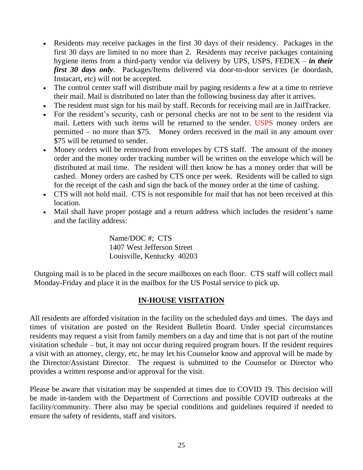- Residents may receive packages in the first 30 days of their residency. Packages in the first 30 days are limited to no more than 2. Residents may receive packages containing hygiene items from a third-party vendor via delivery by UPS, USPS, FEDEX – *in their first 30 days only*. Packages/Items delivered via door-to-door services (ie doordash, Instacart, etc) will not be accepted.
- The control center staff will distribute mail by paging residents a few at a time to retrieve their mail. Mail is distributed no later than the following business day after it arrives.
- The resident must sign for his mail by staff. Records for receiving mail are in JailTracker.
- For the resident's security, cash or personal checks are not to be sent to the resident via mail. Letters with such items will be returned to the sender. USPS money orders are permitted – no more than \$75. Money orders received in the mail in any amount over \$75 will be returned to sender.
- Money orders will be removed from envelopes by CTS staff. The amount of the money order and the money order tracking number will be written on the envelope which will be distributed at mail time. The resident will then know he has a money order that will be cashed. Money orders are cashed by CTS once per week. Residents will be called to sign for the receipt of the cash and sign the back of the money order at the time of cashing.
- CTS will not hold mail. CTS is not responsible for mail that has not been received at this location.
- Mail shall have proper postage and a return address which includes the resident's name and the facility address:

 Name/DOC #; CTS 1407 West Jefferson Street Louisville, Kentucky 40203

Outgoing mail is to be placed in the secure mailboxes on each floor. CTS staff will collect mail Monday-Friday and place it in the mailbox for the US Postal service to pick up.

# **IN-HOUSE VISITATION**

All residents are afforded visitation in the facility on the scheduled days and times. The days and times of visitation are posted on the Resident Bulletin Board. Under special circumstances residents may request a visit from family members on a day and time that is not part of the routine visitation schedule – but, it may not occur during required program hours. If the resident requires a visit with an attorney, clergy, etc, he may let his Counselor know and approval will be made by the Director/Assistant Director. The request is submitted to the Counselor or Director who provides a written response and/or approval for the visit.

Please be aware that visitation may be suspended at times due to COVID 19. This decision will be made in-tandem with the Department of Corrections and possible COVID outbreaks at the facility/community. There also may be special conditions and guidelines required if needed to ensure the safety of residents, staff and visitors.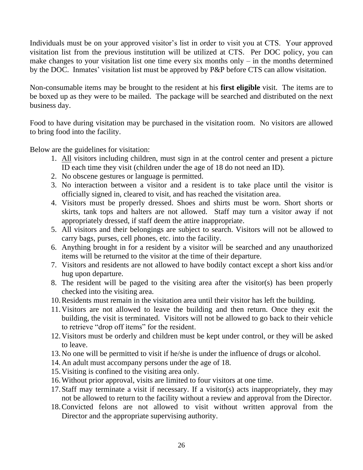Individuals must be on your approved visitor's list in order to visit you at CTS. Your approved visitation list from the previous institution will be utilized at CTS. Per DOC policy, you can make changes to your visitation list one time every six months only  $-$  in the months determined by the DOC. Inmates' visitation list must be approved by P&P before CTS can allow visitation.

Non-consumable items may be brought to the resident at his **first eligible** visit. The items are to be boxed up as they were to be mailed. The package will be searched and distributed on the next business day.

Food to have during visitation may be purchased in the visitation room. No visitors are allowed to bring food into the facility.

Below are the guidelines for visitation:

- 1. All visitors including children, must sign in at the control center and present a picture ID each time they visit (children under the age of 18 do not need an ID).
- 2. No obscene gestures or language is permitted.
- 3. No interaction between a visitor and a resident is to take place until the visitor is officially signed in, cleared to visit, and has reached the visitation area.
- 4. Visitors must be properly dressed. Shoes and shirts must be worn. Short shorts or skirts, tank tops and halters are not allowed. Staff may turn a visitor away if not appropriately dressed, if staff deem the attire inappropriate.
- 5. All visitors and their belongings are subject to search. Visitors will not be allowed to carry bags, purses, cell phones, etc. into the facility.
- 6. Anything brought in for a resident by a visitor will be searched and any unauthorized items will be returned to the visitor at the time of their departure.
- 7. Visitors and residents are not allowed to have bodily contact except a short kiss and/or hug upon departure.
- 8. The resident will be paged to the visiting area after the visitor(s) has been properly checked into the visiting area.
- 10.Residents must remain in the visitation area until their visitor has left the building.
- 11.Visitors are not allowed to leave the building and then return. Once they exit the building, the visit is terminated. Visitors will not be allowed to go back to their vehicle to retrieve "drop off items" for the resident.
- 12.Visitors must be orderly and children must be kept under control, or they will be asked to leave.
- 13.No one will be permitted to visit if he/she is under the influence of drugs or alcohol.
- 14.An adult must accompany persons under the age of 18.
- 15.Visiting is confined to the visiting area only.
- 16.Without prior approval, visits are limited to four visitors at one time.
- 17.Staff may terminate a visit if necessary. If a visitor(s) acts inappropriately, they may not be allowed to return to the facility without a review and approval from the Director.
- 18.Convicted felons are not allowed to visit without written approval from the Director and the appropriate supervising authority.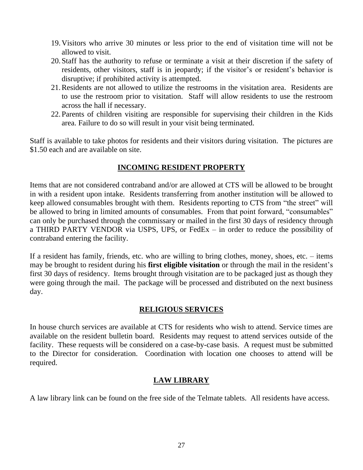- 19.Visitors who arrive 30 minutes or less prior to the end of visitation time will not be allowed to visit.
- 20.Staff has the authority to refuse or terminate a visit at their discretion if the safety of residents, other visitors, staff is in jeopardy; if the visitor's or resident's behavior is disruptive; if prohibited activity is attempted.
- 21.Residents are not allowed to utilize the restrooms in the visitation area. Residents are to use the restroom prior to visitation. Staff will allow residents to use the restroom across the hall if necessary.
- 22.Parents of children visiting are responsible for supervising their children in the Kids area. Failure to do so will result in your visit being terminated.

Staff is available to take photos for residents and their visitors during visitation. The pictures are \$1.50 each and are available on site.

## **INCOMING RESIDENT PROPERTY**

Items that are not considered contraband and/or are allowed at CTS will be allowed to be brought in with a resident upon intake. Residents transferring from another institution will be allowed to keep allowed consumables brought with them. Residents reporting to CTS from "the street" will be allowed to bring in limited amounts of consumables. From that point forward, "consumables" can only be purchased through the commissary or mailed in the first 30 days of residency through a THIRD PARTY VENDOR via USPS, UPS, or FedEx – in order to reduce the possibility of contraband entering the facility.

If a resident has family, friends, etc. who are willing to bring clothes, money, shoes, etc. – items may be brought to resident during his **first eligible visitation** or through the mail in the resident's first 30 days of residency. Items brought through visitation are to be packaged just as though they were going through the mail. The package will be processed and distributed on the next business day.

# **RELIGIOUS SERVICES**

In house church services are available at CTS for residents who wish to attend. Service times are available on the resident bulletin board. Residents may request to attend services outside of the facility. These requests will be considered on a case-by-case basis. A request must be submitted to the Director for consideration. Coordination with location one chooses to attend will be required.

# **LAW LIBRARY**

A law library link can be found on the free side of the Telmate tablets. All residents have access.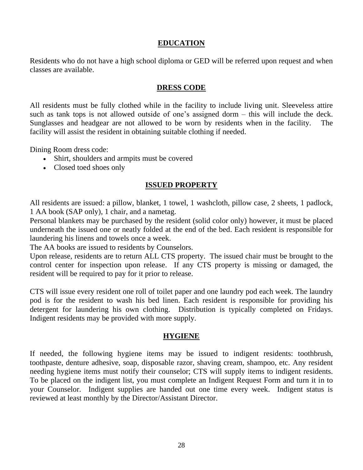#### **EDUCATION**

Residents who do not have a high school diploma or GED will be referred upon request and when classes are available.

#### **DRESS CODE**

All residents must be fully clothed while in the facility to include living unit. Sleeveless attire such as tank tops is not allowed outside of one's assigned dorm – this will include the deck. Sunglasses and headgear are not allowed to be worn by residents when in the facility. The facility will assist the resident in obtaining suitable clothing if needed.

Dining Room dress code:

- Shirt, shoulders and armpits must be covered
- Closed toed shoes only

#### **ISSUED PROPERTY**

All residents are issued: a pillow, blanket, 1 towel, 1 washcloth, pillow case, 2 sheets, 1 padlock, 1 AA book (SAP only), 1 chair, and a nametag.

Personal blankets may be purchased by the resident (solid color only) however, it must be placed underneath the issued one or neatly folded at the end of the bed. Each resident is responsible for laundering his linens and towels once a week.

The AA books are issued to residents by Counselors.

Upon release, residents are to return ALL CTS property. The issued chair must be brought to the control center for inspection upon release. If any CTS property is missing or damaged, the resident will be required to pay for it prior to release.

CTS will issue every resident one roll of toilet paper and one laundry pod each week. The laundry pod is for the resident to wash his bed linen. Each resident is responsible for providing his detergent for laundering his own clothing. Distribution is typically completed on Fridays. Indigent residents may be provided with more supply.

#### **HYGIENE**

If needed, the following hygiene items may be issued to indigent residents: toothbrush, toothpaste, denture adhesive, soap, disposable razor, shaving cream, shampoo, etc. Any resident needing hygiene items must notify their counselor; CTS will supply items to indigent residents. To be placed on the indigent list, you must complete an Indigent Request Form and turn it in to your Counselor. Indigent supplies are handed out one time every week. Indigent status is reviewed at least monthly by the Director/Assistant Director.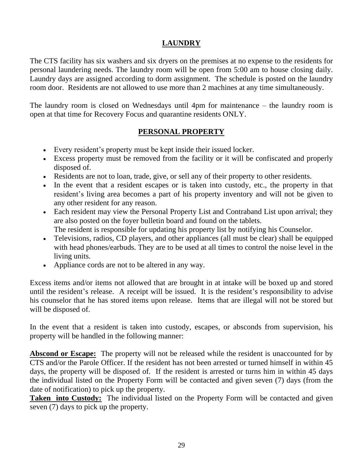# **LAUNDRY**

The CTS facility has six washers and six dryers on the premises at no expense to the residents for personal laundering needs. The laundry room will be open from 5:00 am to house closing daily. Laundry days are assigned according to dorm assignment. The schedule is posted on the laundry room door. Residents are not allowed to use more than 2 machines at any time simultaneously.

The laundry room is closed on Wednesdays until 4pm for maintenance – the laundry room is open at that time for Recovery Focus and quarantine residents ONLY.

## **PERSONAL PROPERTY**

- Every resident's property must be kept inside their issued locker.
- Excess property must be removed from the facility or it will be confiscated and properly disposed of.
- Residents are not to loan, trade, give, or sell any of their property to other residents.
- In the event that a resident escapes or is taken into custody, etc., the property in that resident's living area becomes a part of his property inventory and will not be given to any other resident for any reason.
- Each resident may view the Personal Property List and Contraband List upon arrival; they are also posted on the foyer bulletin board and found on the tablets. The resident is responsible for updating his property list by notifying his Counselor.
- Televisions, radios, CD players, and other appliances (all must be clear) shall be equipped with head phones/earbuds. They are to be used at all times to control the noise level in the living units.
- Appliance cords are not to be altered in any way.

Excess items and/or items not allowed that are brought in at intake will be boxed up and stored until the resident's release. A receipt will be issued. It is the resident's responsibility to advise his counselor that he has stored items upon release. Items that are illegal will not be stored but will be disposed of.

In the event that a resident is taken into custody, escapes, or absconds from supervision, his property will be handled in the following manner:

**Abscond or Escape:** The property will not be released while the resident is unaccounted for by CTS and/or the Parole Officer. If the resident has not been arrested or turned himself in within 45 days, the property will be disposed of. If the resident is arrested or turns him in within 45 days the individual listed on the Property Form will be contacted and given seven (7) days (from the date of notification) to pick up the property.

**Taken into Custody:** The individual listed on the Property Form will be contacted and given seven (7) days to pick up the property.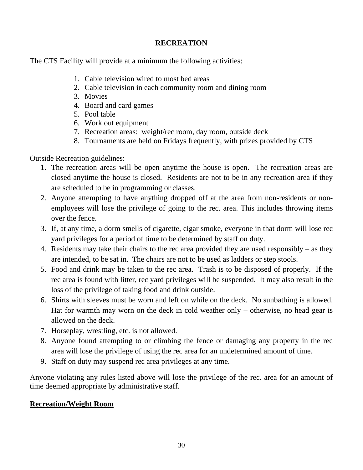# **RECREATION**

The CTS Facility will provide at a minimum the following activities:

- 1. Cable television wired to most bed areas
- 2. Cable television in each community room and dining room
- 3. Movies
- 4. Board and card games
- 5. Pool table
- 6. Work out equipment
- 7. Recreation areas: weight/rec room, day room, outside deck
- 8. Tournaments are held on Fridays frequently, with prizes provided by CTS

Outside Recreation guidelines:

- 1. The recreation areas will be open anytime the house is open. The recreation areas are closed anytime the house is closed. Residents are not to be in any recreation area if they are scheduled to be in programming or classes.
- 2. Anyone attempting to have anything dropped off at the area from non-residents or nonemployees will lose the privilege of going to the rec. area. This includes throwing items over the fence.
- 3. If, at any time, a dorm smells of cigarette, cigar smoke, everyone in that dorm will lose rec yard privileges for a period of time to be determined by staff on duty.
- 4. Residents may take their chairs to the rec area provided they are used responsibly as they are intended, to be sat in. The chairs are not to be used as ladders or step stools.
- 5. Food and drink may be taken to the rec area. Trash is to be disposed of properly. If the rec area is found with litter, rec yard privileges will be suspended. It may also result in the loss of the privilege of taking food and drink outside.
- 6. Shirts with sleeves must be worn and left on while on the deck. No sunbathing is allowed. Hat for warmth may worn on the deck in cold weather only – otherwise, no head gear is allowed on the deck.
- 7. Horseplay, wrestling, etc. is not allowed.
- 8. Anyone found attempting to or climbing the fence or damaging any property in the rec area will lose the privilege of using the rec area for an undetermined amount of time.
- 9. Staff on duty may suspend rec area privileges at any time.

Anyone violating any rules listed above will lose the privilege of the rec. area for an amount of time deemed appropriate by administrative staff.

# **Recreation/Weight Room**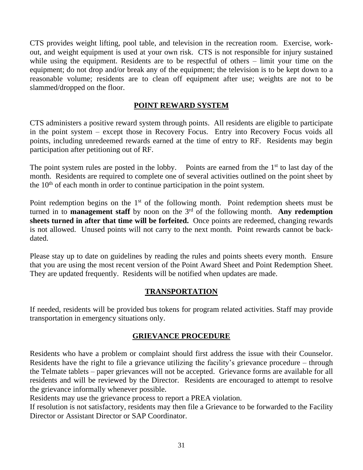CTS provides weight lifting, pool table, and television in the recreation room. Exercise, workout, and weight equipment is used at your own risk. CTS is not responsible for injury sustained while using the equipment. Residents are to be respectful of others – limit your time on the equipment; do not drop and/or break any of the equipment; the television is to be kept down to a reasonable volume; residents are to clean off equipment after use; weights are not to be slammed/dropped on the floor.

## **POINT REWARD SYSTEM**

CTS administers a positive reward system through points. All residents are eligible to participate in the point system – except those in Recovery Focus. Entry into Recovery Focus voids all points, including unredeemed rewards earned at the time of entry to RF. Residents may begin participation after petitioning out of RF.

The point system rules are posted in the lobby. Points are earned from the  $1<sup>st</sup>$  to last day of the month. Residents are required to complete one of several activities outlined on the point sheet by the  $10<sup>th</sup>$  of each month in order to continue participation in the point system.

Point redemption begins on the  $1<sup>st</sup>$  of the following month. Point redemption sheets must be turned in to **management staff** by noon on the 3<sup>rd</sup> of the following month. **Any redemption sheets turned in after that time will be forfeited.** Once points are redeemed, changing rewards is not allowed. Unused points will not carry to the next month. Point rewards cannot be backdated.

Please stay up to date on guidelines by reading the rules and points sheets every month. Ensure that you are using the most recent version of the Point Award Sheet and Point Redemption Sheet. They are updated frequently. Residents will be notified when updates are made.

# **TRANSPORTATION**

If needed, residents will be provided bus tokens for program related activities. Staff may provide transportation in emergency situations only.

# **GRIEVANCE PROCEDURE**

Residents who have a problem or complaint should first address the issue with their Counselor. Residents have the right to file a grievance utilizing the facility's grievance procedure – through the Telmate tablets – paper grievances will not be accepted. Grievance forms are available for all residents and will be reviewed by the Director. Residents are encouraged to attempt to resolve the grievance informally whenever possible.

Residents may use the grievance process to report a PREA violation.

If resolution is not satisfactory, residents may then file a Grievance to be forwarded to the Facility Director or Assistant Director or SAP Coordinator.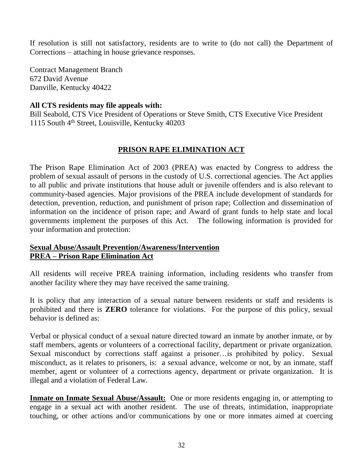If resolution is still not satisfactory, residents are to write to (do not call) the Department of Corrections – attaching in house grievance responses.

Contract Management Branch 672 David Avenue Danville, Kentucky 40422

#### **All CTS residents may file appeals with:**

Bill Seabold, CTS Vice President of Operations or Steve Smith, CTS Executive Vice President 1115 South 4th Street, Louisville, Kentucky 40203

## **PRISON RAPE ELIMINATION ACT**

The Prison Rape Elimination Act of 2003 (PREA) was enacted by Congress to address the problem of sexual assault of persons in the custody of U.S. correctional agencies. The Act applies to all public and private institutions that house adult or juvenile offenders and is also relevant to community-based agencies. Major provisions of the PREA include development of standards for detection, prevention, reduction, and punishment of prison rape; Collection and dissemination of information on the incidence of prison rape; and Award of grant funds to help state and local governments implement the purposes of this Act. The following information is provided for your information and protection:

#### **Sexual Abuse/Assault Prevention/Awareness/Intervention PREA – Prison Rape Elimination Act**

All residents will receive PREA training information, including residents who transfer from another facility where they may have received the same training.

It is policy that any interaction of a sexual nature between residents or staff and residents is prohibited and there is **ZERO** tolerance for violations. For the purpose of this policy, sexual behavior is defined as:

Verbal or physical conduct of a sexual nature directed toward an inmate by another inmate, or by staff members, agents or volunteers of a correctional facility, department or private organization. Sexual misconduct by corrections staff against a prisoner…is prohibited by policy. Sexual misconduct, as it relates to prisoners, is: a sexual advance, welcome or not, by an inmate, staff member, agent or volunteer of a corrections agency, department or private organization. It is illegal and a violation of Federal Law.

**Inmate on Inmate Sexual Abuse/Assault:** One or more residents engaging in, or attempting to engage in a sexual act with another resident. The use of threats, intimidation, inappropriate touching, or other actions and/or communications by one or more inmates aimed at coercing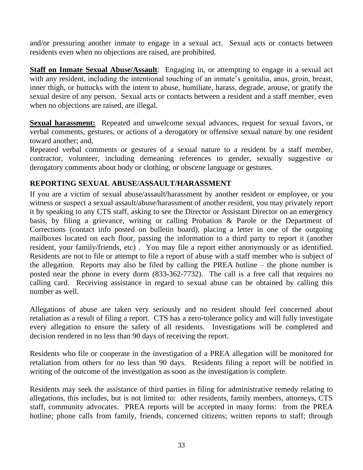and/or pressuring another inmate to engage in a sexual act. Sexual acts or contacts between residents even when no objections are raised, are prohibited.

**Staff on Inmate Sexual Abuse/Assault**: Engaging in, or attempting to engage in a sexual act with any resident, including the intentional touching of an inmate's genitalia, anus, groin, breast, inner thigh, or buttocks with the intent to abuse, humiliate, harass, degrade, arouse, or gratify the sexual desire of any person. Sexual acts or contacts between a resident and a staff member, even when no objections are raised, are illegal.

**Sexual harassment:** Repeated and unwelcome sexual advances, request for sexual favors, or verbal comments, gestures, or actions of a derogatory or offensive sexual nature by one resident toward another; and,

Repeated verbal comments or gestures of a sexual nature to a resident by a staff member, contractor, volunteer, including demeaning references to gender, sexually suggestive or derogatory comments about body or clothing, or obscene language or gestures.

# **REPORTING SEXUAL ABUSE/ASSAULT/HARASSMENT**

If you are a victim of sexual abuse/assault/harassment by another resident or employee, or you witness or suspect a sexual assault/abuse/harassment of another resident, you may privately report it by speaking to any CTS staff, asking to see the Director or Assistant Director on an emergency basis, by filing a grievance, writing or calling Probation & Parole or the Department of Corrections (contact info posted on bulletin board), placing a letter in one of the outgoing mailboxes located on each floor, passing the information to a third party to report it (another resident, your family/friends, etc) . You may file a report either anonymously or as identified. Residents are not to file or attempt to file a report of abuse with a staff member who is subject of the allegation. Reports may also be filed by calling the PREA hotline – the phone number is posted near the phone in every dorm (833-362-7732). The call is a free call that requires no calling card. Receiving assistance in regard to sexual abuse can be obtained by calling this number as well.

Allegations of abuse are taken very seriously and no resident should feel concerned about retaliation as a result of filing a report. CTS has a zero-tolerance policy and will fully investigate every allegation to ensure the safety of all residents. Investigations will be completed and decision rendered in no less than 90 days of receiving the report.

Residents who file or cooperate in the investigation of a PREA allegation will be monitored for retaliation from others for no less than 90 days. Residents filing a report will be notified in writing of the outcome of the investigation as soon as the investigation is complete.

Residents may seek the assistance of third parties in filing for administrative remedy relating to allegations, this includes, but is not limited to: other residents, family members, attorneys, CTS staff, community advocates. PREA reports will be accepted in many forms: from the PREA hotline; phone calls from family, friends, concerned citizens; written reports to staff; through